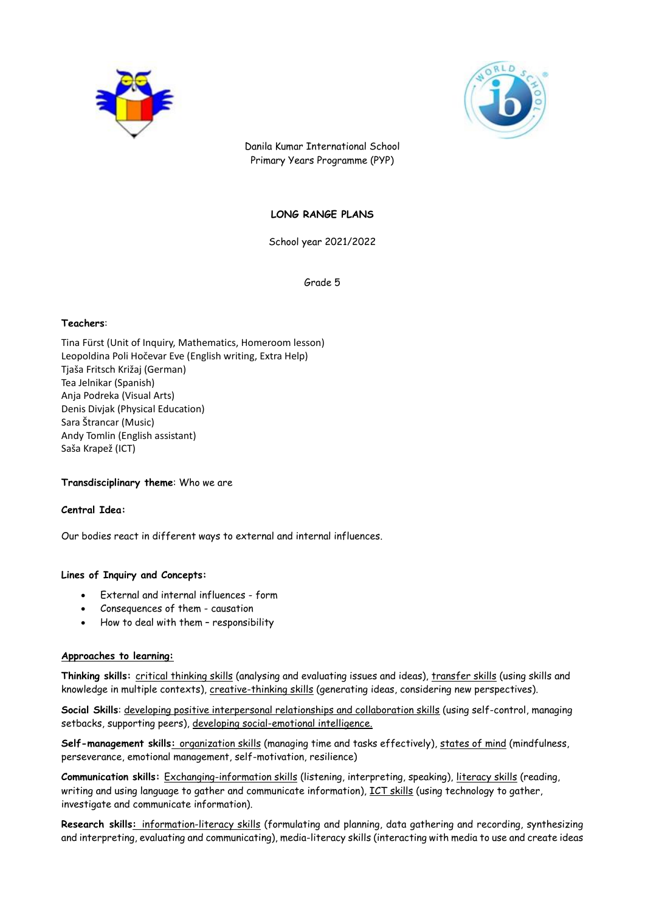



Danila Kumar International School Primary Years Programme (PYP)

# **LONG RANGE PLANS**

School year 2021/2022

Grade 5

#### **Teachers**:

Tina Fürst (Unit of Inquiry, Mathematics, Homeroom lesson) Leopoldina Poli Hočevar Eve (English writing, Extra Help) Tjaša Fritsch Križaj (German) Tea Jelnikar (Spanish) Anja Podreka (Visual Arts) Denis Divjak (Physical Education) Sara Štrancar (Music) Andy Tomlin (English assistant) Saša Krapež (ICT)

#### **Transdisciplinary theme**: Who we are

#### **Central Idea:**

Our bodies react in different ways to external and internal influences.

## **Lines of Inquiry and Concepts:**

- External and internal influences form
- Consequences of them causation
- How to deal with them responsibility

#### **Approaches to learning:**

**Thinking skills:** critical thinking skills (analysing and evaluating issues and ideas), transfer skills (using skills and knowledge in multiple contexts), creative-thinking skills (generating ideas, considering new perspectives).

**Social Skills**: developing positive interpersonal relationships and collaboration skills (using self-control, managing setbacks, supporting peers), developing social-emotional intelligence.

**Self-management skills:** organization skills (managing time and tasks effectively), states of mind (mindfulness, perseverance, emotional management, self-motivation, resilience)

**Communication skills:** Exchanging-information skills (listening, interpreting, speaking), literacy skills (reading, writing and using language to gather and communicate information), ICT skills (using technology to gather, investigate and communicate information).

**Research skills:** information-literacy skills (formulating and planning, data gathering and recording, synthesizing and interpreting, evaluating and communicating), media-literacy skills (interacting with media to use and create ideas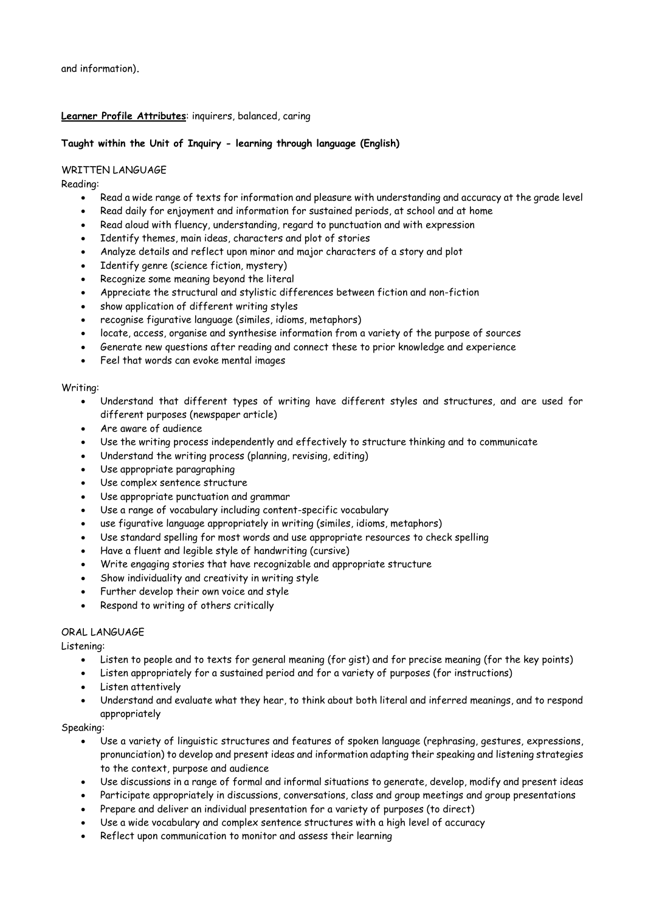# **Learner Profile Attributes**: inquirers, balanced, caring

## **Taught within the Unit of Inquiry - learning through language (English)**

## WRITTEN LANGUAGE

Reading:

- Read a wide range of texts for information and pleasure with understanding and accuracy at the grade level
- Read daily for enjoyment and information for sustained periods, at school and at home
- Read aloud with fluency, understanding, regard to punctuation and with expression
- Identify themes, main ideas, characters and plot of stories
- Analyze details and reflect upon minor and major characters of a story and plot
- Identify genre (science fiction, mystery)
- Recognize some meaning beyond the literal
- Appreciate the structural and stylistic differences between fiction and non-fiction
- show application of different writing styles
- recognise figurative language (similes, idioms, metaphors)
- locate, access, organise and synthesise information from a variety of the purpose of sources
- Generate new questions after reading and connect these to prior knowledge and experience
- Feel that words can evoke mental images

## Writing:

- Understand that different types of writing have different styles and structures, and are used for different purposes (newspaper article)
- Are aware of audience
- Use the writing process independently and effectively to structure thinking and to communicate
- Understand the writing process (planning, revising, editing)
- Use appropriate paragraphing
- Use complex sentence structure
- Use appropriate punctuation and grammar
- Use a range of vocabulary including content-specific vocabulary
- use figurative language appropriately in writing (similes, idioms, metaphors)
- Use standard spelling for most words and use appropriate resources to check spelling
- Have a fluent and legible style of handwriting (cursive)
- Write engaging stories that have recognizable and appropriate structure
- Show individuality and creativity in writing style
- Further develop their own voice and style
- Respond to writing of others critically

# ORAL LANGUAGE

Listening:

- Listen to people and to texts for general meaning (for gist) and for precise meaning (for the key points)
- Listen appropriately for a sustained period and for a variety of purposes (for instructions)
- Listen attentively
- Understand and evaluate what they hear, to think about both literal and inferred meanings, and to respond appropriately

## Speaking:

- Use a variety of linguistic structures and features of spoken language (rephrasing, gestures, expressions, pronunciation) to develop and present ideas and information adapting their speaking and listening strategies to the context, purpose and audience
- Use discussions in a range of formal and informal situations to generate, develop, modify and present ideas
- Participate appropriately in discussions, conversations, class and group meetings and group presentations
- Prepare and deliver an individual presentation for a variety of purposes (to direct)
- Use a wide vocabulary and complex sentence structures with a high level of accuracy
- Reflect upon communication to monitor and assess their learning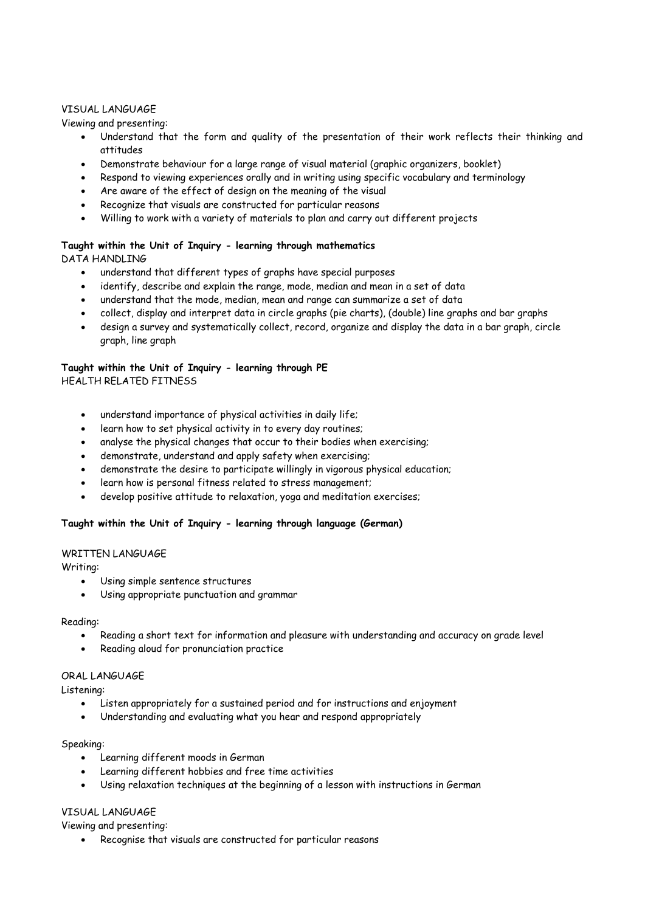## VISUAL LANGUAGE

Viewing and presenting:

- Understand that the form and quality of the presentation of their work reflects their thinking and attitudes
- Demonstrate behaviour for a large range of visual material (graphic organizers, booklet)
- Respond to viewing experiences orally and in writing using specific vocabulary and terminology
- Are aware of the effect of design on the meaning of the visual
- Recognize that visuals are constructed for particular reasons
- Willing to work with a variety of materials to plan and carry out different projects

# **Taught within the Unit of Inquiry - learning through mathematics**

DATA HANDLING

- understand that different types of graphs have special purposes
- identify, describe and explain the range, mode, median and mean in a set of data
- understand that the mode, median, mean and range can summarize a set of data
- collect, display and interpret data in circle graphs (pie charts), (double) line graphs and bar graphs
- design a survey and systematically collect, record, organize and display the data in a bar graph, circle graph, line graph

# **Taught within the Unit of Inquiry - learning through PE**

HEALTH RELATED FITNESS

- understand importance of physical activities in daily life;
- learn how to set physical activity in to every day routines;
- analyse the physical changes that occur to their bodies when exercising;
- demonstrate, understand and apply safety when exercising;
- demonstrate the desire to participate willingly in vigorous physical education;
- learn how is personal fitness related to stress management;
- develop positive attitude to relaxation, yoga and meditation exercises;

# **Taught within the Unit of Inquiry - learning through language (German)**

## WRITTEN LANGUAGE

Writing:

- Using simple sentence structures
- Using appropriate punctuation and grammar

## Reading:

- Reading a short text for information and pleasure with understanding and accuracy on grade level
- Reading aloud for pronunciation practice

## ORAL LANGUAGE

Listening:

- Listen appropriately for a sustained period and for instructions and enjoyment
- Understanding and evaluating what you hear and respond appropriately

## Speaking:

- Learning different moods in German
- Learning different hobbies and free time activities
- Using relaxation techniques at the beginning of a lesson with instructions in German

# VISUAL LANGUAGE

Viewing and presenting:

Recognise that visuals are constructed for particular reasons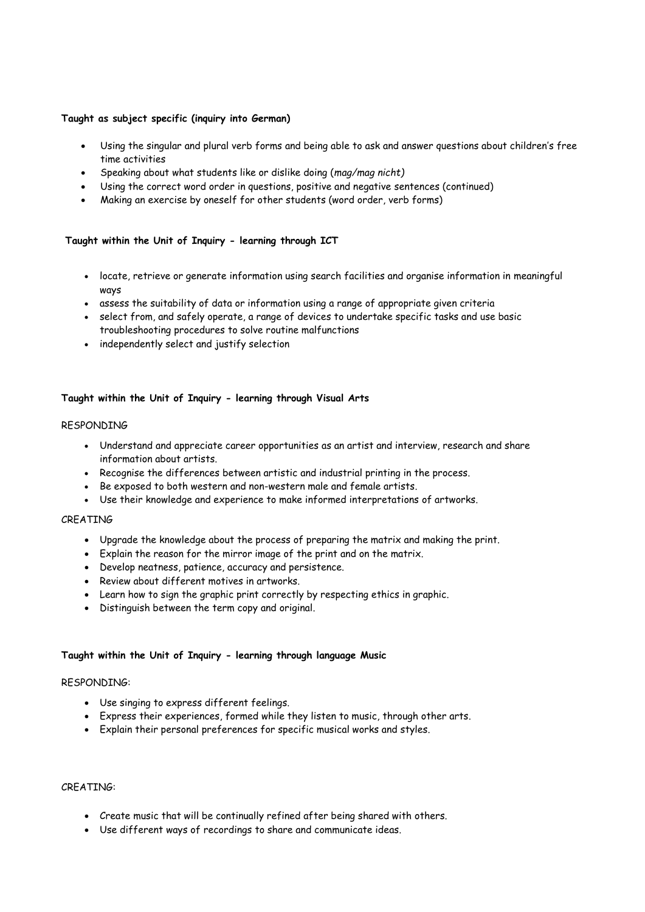# **Taught as subject specific (inquiry into German)**

- Using the singular and plural verb forms and being able to ask and answer questions about children's free time activities
- Speaking about what students like or dislike doing (*mag/mag nicht)*
- Using the correct word order in questions, positive and negative sentences (continued)
- Making an exercise by oneself for other students (word order, verb forms)

# **Taught within the Unit of Inquiry - learning through ICT**

- locate, retrieve or generate information using search facilities and organise information in meaningful ways
- assess the suitability of data or information using a range of appropriate given criteria
- select from, and safely operate, a range of devices to undertake specific tasks and use basic troubleshooting procedures to solve routine malfunctions
- independently select and justify selection

# **Taught within the Unit of Inquiry - learning through Visual Arts**

#### RESPONDING

- Understand and appreciate career opportunities as an artist and interview, research and share information about artists.
- Recognise the differences between artistic and industrial printing in the process.
- Be exposed to both western and non-western male and female artists.
- Use their knowledge and experience to make informed interpretations of artworks.

## CREATING

- Upgrade the knowledge about the process of preparing the matrix and making the print.
- Explain the reason for the mirror image of the print and on the matrix.
- Develop neatness, patience, accuracy and persistence.
- Review about different motives in artworks.
- Learn how to sign the graphic print correctly by respecting ethics in graphic.
- Distinguish between the term copy and original.

## **Taught within the Unit of Inquiry - learning through language Music**

#### RESPONDING:

- Use singing to express different feelings.
- Express their experiences, formed while they listen to music, through other arts.
- Explain their personal preferences for specific musical works and styles.

#### CREATING:

- Create music that will be continually refined after being shared with others.
- Use different ways of recordings to share and communicate ideas.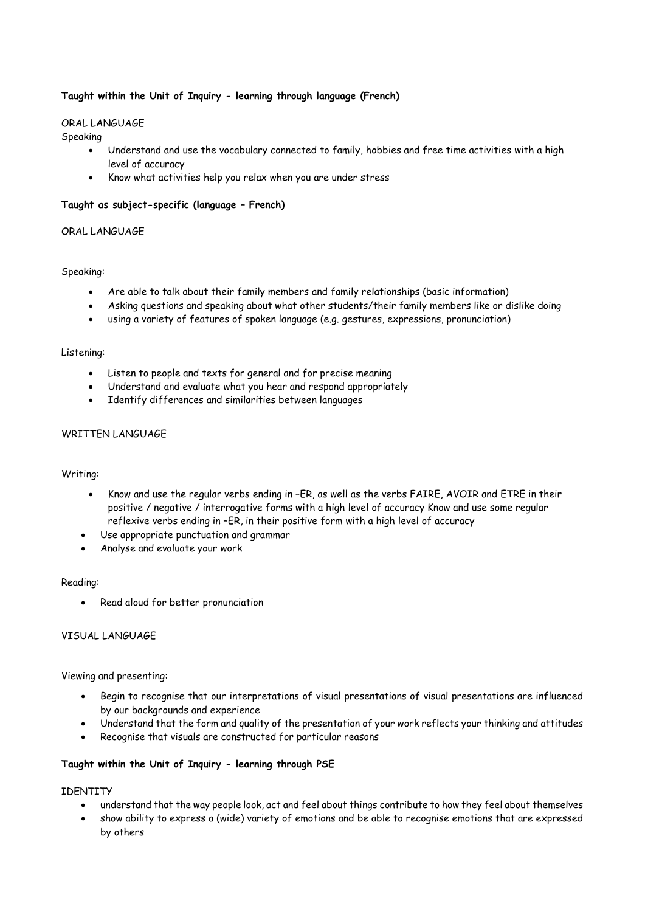# **Taught within the Unit of Inquiry - learning through language (French)**

## ORAL LANGUAGE

Speaking

- Understand and use the vocabulary connected to family, hobbies and free time activities with a high level of accuracy
- Know what activities help you relax when you are under stress

## **Taught as subject-specific (language – French)**

# ORAL LANGUAGE

#### Speaking:

- Are able to talk about their family members and family relationships (basic information)
- Asking questions and speaking about what other students/their family members like or dislike doing
- using a variety of features of spoken language (e.g. gestures, expressions, pronunciation)

#### Listening:

- Listen to people and texts for general and for precise meaning
- Understand and evaluate what you hear and respond appropriately
- Identify differences and similarities between languages

## WRITTEN LANGUAGE

#### Writing:

- Know and use the regular verbs ending in –ER, as well as the verbs FAIRE, AVOIR and ETRE in their positive / negative / interrogative forms with a high level of accuracy Know and use some regular reflexive verbs ending in –ER, in their positive form with a high level of accuracy
- Use appropriate punctuation and grammar
- Analyse and evaluate your work

#### Reading:

Read aloud for better pronunciation

## VISUAL LANGUAGE

#### Viewing and presenting:

- Begin to recognise that our interpretations of visual presentations of visual presentations are influenced by our backgrounds and experience
- Understand that the form and quality of the presentation of your work reflects your thinking and attitudes
- Recognise that visuals are constructed for particular reasons

## **Taught within the Unit of Inquiry - learning through PSE**

## IDENTITY

- understand that the way people look, act and feel about things contribute to how they feel about themselves
- show ability to express a (wide) variety of emotions and be able to recognise emotions that are expressed by others